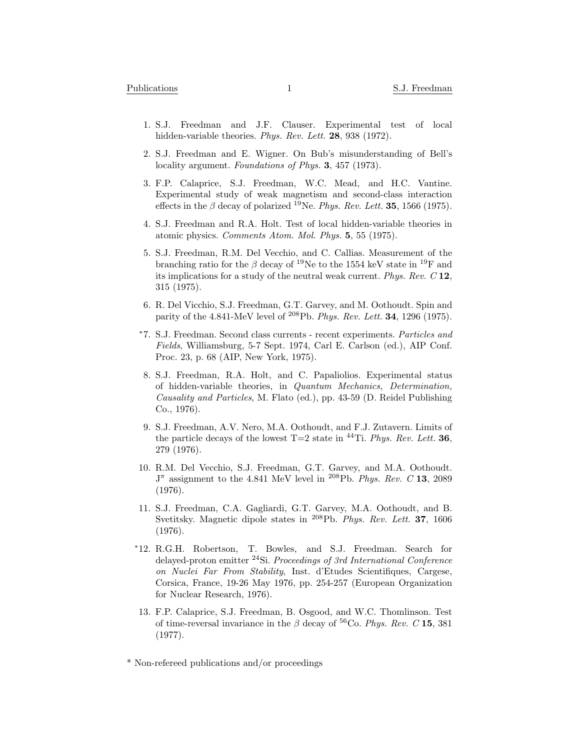- 1. S.J. Freedman and J.F. Clauser. Experimental test of local hidden-variable theories. *Phys. Rev. Lett.* **28**, 938 (1972).
- 2. S.J. Freedman and E. Wigner. On Bub's misunderstanding of Bell's locality argument. *Foundations of Phys.* **3**, 457 (1973).
- 3. F.P. Calaprice, S.J. Freedman, W.C. Mead, and H.C. Vantine. Experimental study of weak magnetism and second-class interaction effects in the  $\beta$  decay of polarized <sup>19</sup>Ne. *Phys. Rev. Lett.* **35**, 1566 (1975).
- 4. S.J. Freedman and R.A. Holt. Test of local hidden-variable theories in atomic physics. *Comments Atom. Mol. Phys.* **5**, 55 (1975).
- 5. S.J. Freedman, R.M. Del Vecchio, and C. Callias. Measurement of the branching ratio for the *β* decay of <sup>19</sup>Ne to the 1554 keV state in <sup>19</sup>F and its implications for a study of the neutral weak current. *Phys. Rev. C* **12**, 315 (1975).
- 6. R. Del Vicchio, S.J. Freedman, G.T. Garvey, and M. Oothoudt. Spin and parity of the 4.841-MeV level of <sup>208</sup>Pb. *Phys. Rev. Lett.* **34**, 1296 (1975).
- *<sup>∗</sup>*7. S.J. Freedman. Second class currents recent experiments. *Particles and Fields*, Williamsburg, 5-7 Sept. 1974, Carl E. Carlson (ed.), AIP Conf. Proc. 23, p. 68 (AIP, New York, 1975).
- 8. S.J. Freedman, R.A. Holt, and C. Papaliolios. Experimental status of hidden-variable theories, in *Quantum Mechanics, Determination, Causality and Particles*, M. Flato (ed.), pp. 43-59 (D. Reidel Publishing Co., 1976).
- 9. S.J. Freedman, A.V. Nero, M.A. Oothoudt, and F.J. Zutavern. Limits of the particle decays of the lowest  $T=2$  state in  $^{44}$ Ti. *Phys. Rev. Lett.* **36**, 279 (1976).
- 10. R.M. Del Vecchio, S.J. Freedman, G.T. Garvey, and M.A. Oothoudt. J *<sup>π</sup>* assignment to the 4.841 MeV level in <sup>208</sup>Pb. *Phys. Rev. C* **13**, 2089 (1976).
- 11. S.J. Freedman, C.A. Gagliardi, G.T. Garvey, M.A. Oothoudt, and B. Svetitsky. Magnetic dipole states in <sup>208</sup>Pb. *Phys. Rev. Lett.* **37**, 1606 (1976).
- *<sup>∗</sup>*12. R.G.H. Robertson, T. Bowles, and S.J. Freedman. Search for delayed-proton emitter <sup>24</sup>Si. *Proceedings of 3rd International Conference on Nuclei Far From Stability*, Inst. d'Etudes Scientifiques, Cargese, Corsica, France, 19-26 May 1976, pp. 254-257 (European Organization for Nuclear Research, 1976).
- 13. F.P. Calaprice, S.J. Freedman, B. Osgood, and W.C. Thomlinson. Test of time-reversal invariance in the  $\beta$  decay of <sup>56</sup>Co. *Phys. Rev.* C 15, 381 (1977).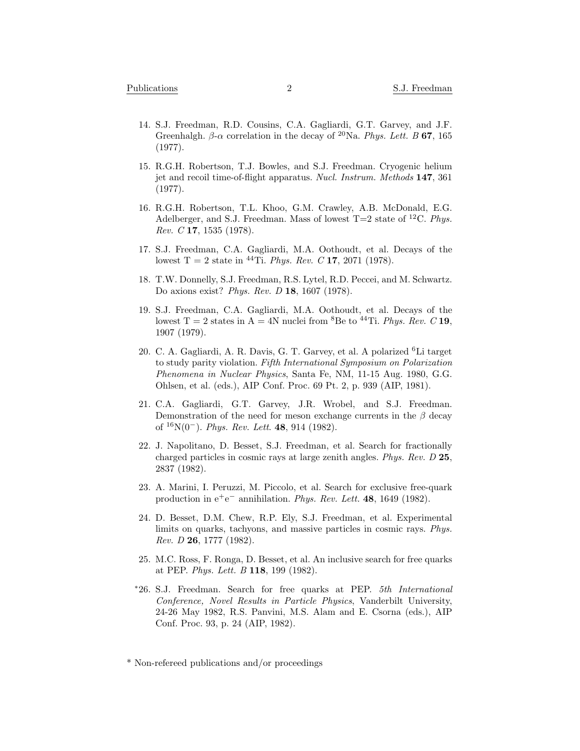- 14. S.J. Freedman, R.D. Cousins, C.A. Gagliardi, G.T. Garvey, and J.F. Greenhalgh. *β*-*α* correlation in the decay of <sup>20</sup>Na. *Phys. Lett. B* **67**, 165 (1977).
- 15. R.G.H. Robertson, T.J. Bowles, and S.J. Freedman. Cryogenic helium jet and recoil time-of-flight apparatus. *Nucl. Instrum. Methods* **147**, 361 (1977).
- 16. R.G.H. Robertson, T.L. Khoo, G.M. Crawley, A.B. McDonald, E.G. Adelberger, and S.J. Freedman. Mass of lowest T=2 state of <sup>12</sup>C. *Phys. Rev. C* **17**, 1535 (1978).
- 17. S.J. Freedman, C.A. Gagliardi, M.A. Oothoudt, et al. Decays of the lowest T = 2 state in <sup>44</sup>Ti. *Phys. Rev. C* **17**, 2071 (1978).
- 18. T.W. Donnelly, S.J. Freedman, R.S. Lytel, R.D. Peccei, and M. Schwartz. Do axions exist? *Phys. Rev. D* **18**, 1607 (1978).
- 19. S.J. Freedman, C.A. Gagliardi, M.A. Oothoudt, et al. Decays of the lowest T = 2 states in A = 4N nuclei from <sup>8</sup>Be to <sup>44</sup>Ti. *Phys. Rev.* C **19**, 1907 (1979).
- 20. C. A. Gagliardi, A. R. Davis, G. T. Garvey, et al. A polarized <sup>6</sup>Li target to study parity violation. *Fifth International Symposium on Polarization Phenomena in Nuclear Physics*, Santa Fe, NM, 11-15 Aug. 1980, G.G. Ohlsen, et al. (eds.), AIP Conf. Proc. 69 Pt. 2, p. 939 (AIP, 1981).
- 21. C.A. Gagliardi, G.T. Garvey, J.R. Wrobel, and S.J. Freedman. Demonstration of the need for meson exchange currents in the *β* decay of <sup>16</sup>N(0*−*). *Phys. Rev. Lett*. **48**, 914 (1982).
- 22. J. Napolitano, D. Besset, S.J. Freedman, et al. Search for fractionally charged particles in cosmic rays at large zenith angles. *Phys. Rev. D* **25**, 2837 (1982).
- 23. A. Marini, I. Peruzzi, M. Piccolo, et al. Search for exclusive free-quark production in e<sup>+</sup>e *<sup>−</sup>* annihilation. *Phys. Rev. Lett.* **48**, 1649 (1982).
- 24. D. Besset, D.M. Chew, R.P. Ely, S.J. Freedman, et al. Experimental limits on quarks, tachyons, and massive particles in cosmic rays. *Phys. Rev. D* **26**, 1777 (1982).
- 25. M.C. Ross, F. Ronga, D. Besset, et al. An inclusive search for free quarks at PEP. *Phys. Lett. B* **118**, 199 (1982).
- *<sup>∗</sup>*26. S.J. Freedman. Search for free quarks at PEP. *5th International Conference, Novel Results in Particle Physics*, Vanderbilt University, 24-26 May 1982, R.S. Panvini, M.S. Alam and E. Csorna (eds.), AIP Conf. Proc. 93, p. 24 (AIP, 1982).

<sup>\*</sup> Non-refereed publications and/or proceedings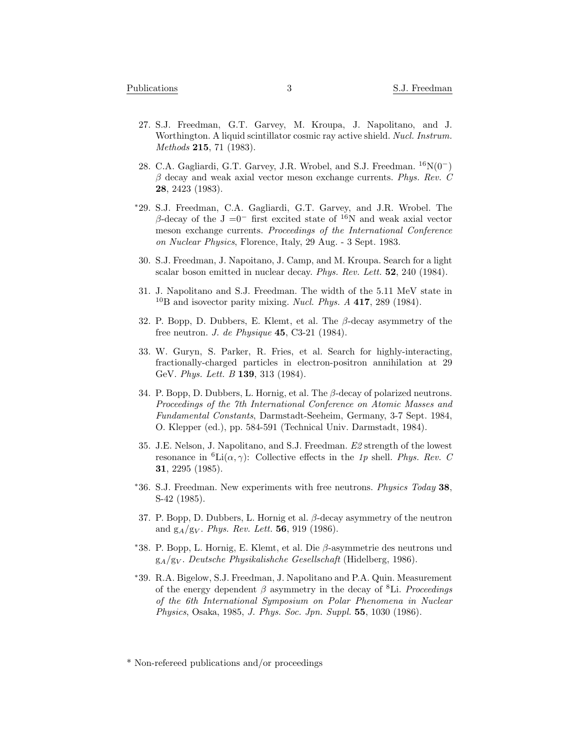- 27. S.J. Freedman, G.T. Garvey, M. Kroupa, J. Napolitano, and J. Worthington. A liquid scintillator cosmic ray active shield. *Nucl. Instrum. Methods* **215**, 71 (1983).
- 28. C.A. Gagliardi, G.T. Garvey, J.R. Wrobel, and S.J. Freedman. <sup>16</sup>N(0*−*) *β* decay and weak axial vector meson exchange currents. *Phys. Rev. C* **28**, 2423 (1983).
- *<sup>∗</sup>*29. S.J. Freedman, C.A. Gagliardi, G.T. Garvey, and J.R. Wrobel. The  $β$ -decay of the J = $0^-$  first excited state of <sup>16</sup>N and weak axial vector meson exchange currents. *Proceedings of the International Conference on Nuclear Physics*, Florence, Italy, 29 Aug. - 3 Sept. 1983.
- 30. S.J. Freedman, J. Napoitano, J. Camp, and M. Kroupa. Search for a light scalar boson emitted in nuclear decay. *Phys. Rev. Lett.* **52**, 240 (1984).
- 31. J. Napolitano and S.J. Freedman. The width of the 5.11 MeV state in <sup>10</sup>B and isovector parity mixing. *Nucl. Phys. A* **417**, 289 (1984).
- 32. P. Bopp, D. Dubbers, E. Klemt, et al. The *β*-decay asymmetry of the free neutron. *J. de Physique* **45**, C3-21 (1984).
- 33. W. Guryn, S. Parker, R. Fries, et al. Search for highly-interacting, fractionally-charged particles in electron-positron annihilation at 29 GeV. *Phys. Lett. B* **139**, 313 (1984).
- 34. P. Bopp, D. Dubbers, L. Hornig, et al. The *β*-decay of polarized neutrons. *Proceedings of the 7th International Conference on Atomic Masses and Fundamental Constants*, Darmstadt-Seeheim, Germany, 3-7 Sept. 1984, O. Klepper (ed.), pp. 584-591 (Technical Univ. Darmstadt, 1984).
- 35. J.E. Nelson, J. Napolitano, and S.J. Freedman. *E2* strength of the lowest resonance in <sup>6</sup>Li( $\alpha$ ,  $\gamma$ ): Collective effects in the *1p* shell. *Phys. Rev. C* **31**, 2295 (1985).
- *<sup>∗</sup>*36. S.J. Freedman. New experiments with free neutrons. *Physics Today* **38**, S-42 (1985).
- 37. P. Bopp, D. Dubbers, L. Hornig et al. *β*-decay asymmetry of the neutron and g*A*/g*<sup>V</sup>* . *Phys. Rev. Lett.* **56**, 919 (1986).
- *<sup>∗</sup>*38. P. Bopp, L. Hornig, E. Klemt, et al. Die *β*-asymmetrie des neutrons und g*A*/g*<sup>V</sup>* . *Deutsche Physikalishche Gesellschaft* (Hidelberg, 1986).
- *<sup>∗</sup>*39. R.A. Bigelow, S.J. Freedman, J. Napolitano and P.A. Quin. Measurement of the energy dependent *β* asymmetry in the decay of <sup>8</sup>Li. *Proceedings of the 6th International Symposium on Polar Phenomena in Nuclear Physics*, Osaka, 1985, *J. Phys. Soc. Jpn. Suppl.* **55**, 1030 (1986).

<sup>\*</sup> Non-refereed publications and/or proceedings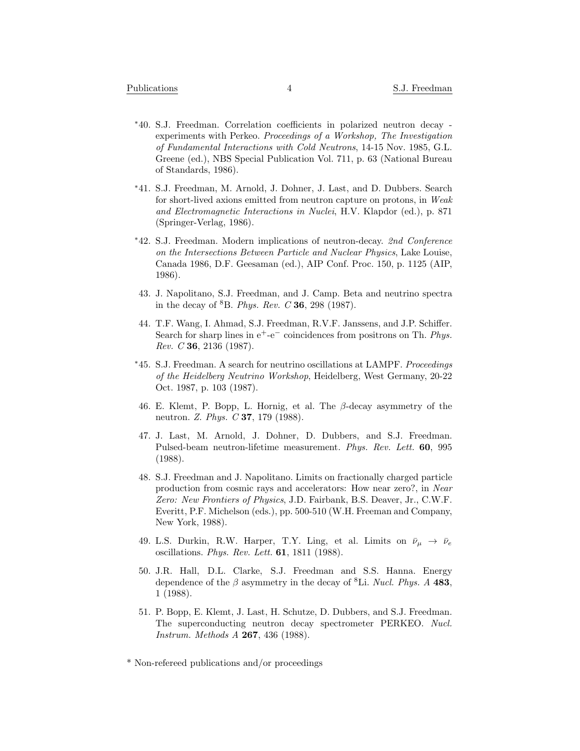- *<sup>∗</sup>*40. S.J. Freedman. Correlation coefficients in polarized neutron decay experiments with Perkeo. *Proceedings of a Workshop, The Investigation of Fundamental Interactions with Cold Neutrons*, 14-15 Nov. 1985, G.L. Greene (ed.), NBS Special Publication Vol. 711, p. 63 (National Bureau of Standards, 1986).
- *<sup>∗</sup>*41. S.J. Freedman, M. Arnold, J. Dohner, J. Last, and D. Dubbers. Search for short-lived axions emitted from neutron capture on protons, in *Weak and Electromagnetic Interactions in Nuclei*, H.V. Klapdor (ed.), p. 871 (Springer-Verlag, 1986).
- *<sup>∗</sup>*42. S.J. Freedman. Modern implications of neutron-decay. *2nd Conference on the Intersections Between Particle and Nuclear Physics*, Lake Louise, Canada 1986, D.F. Geesaman (ed.), AIP Conf. Proc. 150, p. 1125 (AIP, 1986).
- 43. J. Napolitano, S.J. Freedman, and J. Camp. Beta and neutrino spectra in the decay of <sup>8</sup>B. *Phys. Rev. C* **36**, 298 (1987).
- 44. T.F. Wang, I. Ahmad, S.J. Freedman, R.V.F. Janssens, and J.P. Schiffer. Search for sharp lines in e<sup>+</sup>-e<sup>−</sup> coincidences from positrons on Th. *Phys. Rev. C* **36**, 2136 (1987).
- *<sup>∗</sup>*45. S.J. Freedman. A search for neutrino oscillations at LAMPF. *Proceedings of the Heidelberg Neutrino Workshop*, Heidelberg, West Germany, 20-22 Oct. 1987, p. 103 (1987).
- 46. E. Klemt, P. Bopp, L. Hornig, et al. The *β*-decay asymmetry of the neutron. *Z. Phys. C* **37**, 179 (1988).
- 47. J. Last, M. Arnold, J. Dohner, D. Dubbers, and S.J. Freedman. Pulsed-beam neutron-lifetime measurement. *Phys. Rev. Lett.* **60**, 995 (1988).
- 48. S.J. Freedman and J. Napolitano. Limits on fractionally charged particle production from cosmic rays and accelerators: How near zero?, in *Near Zero: New Frontiers of Physics*, J.D. Fairbank, B.S. Deaver, Jr., C.W.F. Everitt, P.F. Michelson (eds.), pp. 500-510 (W.H. Freeman and Company, New York, 1988).
- 49. L.S. Durkin, R.W. Harper, T.Y. Ling, et al. Limits on  $\bar{\nu}_{\mu} \rightarrow \bar{\nu}_{e}$ oscillations. *Phys. Rev. Lett.* **61**, 1811 (1988).
- 50. J.R. Hall, D.L. Clarke, S.J. Freedman and S.S. Hanna. Energy dependence of the *β* asymmetry in the decay of <sup>8</sup>Li. *Nucl. Phys. A* **483**, 1 (1988).
- 51. P. Bopp, E. Klemt, J. Last, H. Schutze, D. Dubbers, and S.J. Freedman. The superconducting neutron decay spectrometer PERKEO. *Nucl. Instrum. Methods A* **267**, 436 (1988).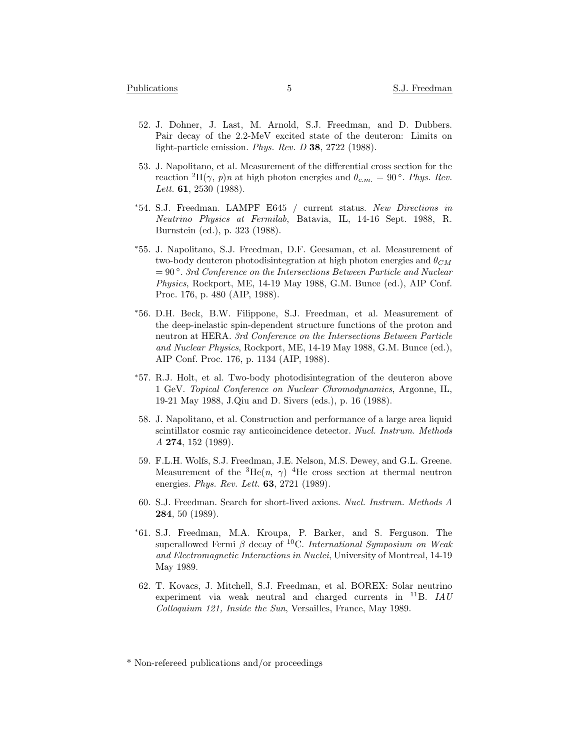- 52. J. Dohner, J. Last, M. Arnold, S.J. Freedman, and D. Dubbers. Pair decay of the 2.2-MeV excited state of the deuteron: Limits on light-particle emission. *Phys. Rev. D* **38**, 2722 (1988).
- 53. J. Napolitano, et al. Measurement of the differential cross section for the reaction <sup>2</sup>H( $\gamma$ , *p*)*n* at high photon energies and  $\theta_{c.m.} = 90$ <sup>°</sup>. *Phys. Rev. Lett.* **61**, 2530 (1988).
- *<sup>∗</sup>*54. S.J. Freedman. LAMPF E645 / current status. *New Directions in Neutrino Physics at Fermilab*, Batavia, IL, 14-16 Sept. 1988, R. Burnstein (ed.), p. 323 (1988).
- *<sup>∗</sup>*55. J. Napolitano, S.J. Freedman, D.F. Geesaman, et al. Measurement of two-body deuteron photodisintegration at high photon energies and *θCM* = 90 *◦* . *3rd Conference on the Intersections Between Particle and Nuclear Physics*, Rockport, ME, 14-19 May 1988, G.M. Bunce (ed.), AIP Conf. Proc. 176, p. 480 (AIP, 1988).
- *<sup>∗</sup>*56. D.H. Beck, B.W. Filippone, S.J. Freedman, et al. Measurement of the deep-inelastic spin-dependent structure functions of the proton and neutron at HERA. *3rd Conference on the Intersections Between Particle and Nuclear Physics*, Rockport, ME, 14-19 May 1988, G.M. Bunce (ed.), AIP Conf. Proc. 176, p. 1134 (AIP, 1988).
- *<sup>∗</sup>*57. R.J. Holt, et al. Two-body photodisintegration of the deuteron above 1 GeV. *Topical Conference on Nuclear Chromodynamics*, Argonne, IL, 19-21 May 1988, J.Qiu and D. Sivers (eds.), p. 16 (1988).
- 58. J. Napolitano, et al. Construction and performance of a large area liquid scintillator cosmic ray anticoincidence detector. *Nucl. Instrum. Methods A* **274**, 152 (1989).
- 59. F.L.H. Wolfs, S.J. Freedman, J.E. Nelson, M.S. Dewey, and G.L. Greene. Measurement of the  ${}^{3}$ He( $n, \gamma$ ) <sup>4</sup>He cross section at thermal neutron energies. *Phys. Rev. Lett.* **63**, 2721 (1989).
- 60. S.J. Freedman. Search for short-lived axions. *Nucl. Instrum. Methods A* **284**, 50 (1989).
- *<sup>∗</sup>*61. S.J. Freedman, M.A. Kroupa, P. Barker, and S. Ferguson. The superallowed Fermi *β* decay of <sup>10</sup>C. *International Symposium on Weak and Electromagnetic Interactions in Nuclei*, University of Montreal, 14-19 May 1989.
- 62. T. Kovacs, J. Mitchell, S.J. Freedman, et al. BOREX: Solar neutrino experiment via weak neutral and charged currents in <sup>11</sup>B. *IAU Colloquium 121, Inside the Sun*, Versailles, France, May 1989.

<sup>\*</sup> Non-refereed publications and/or proceedings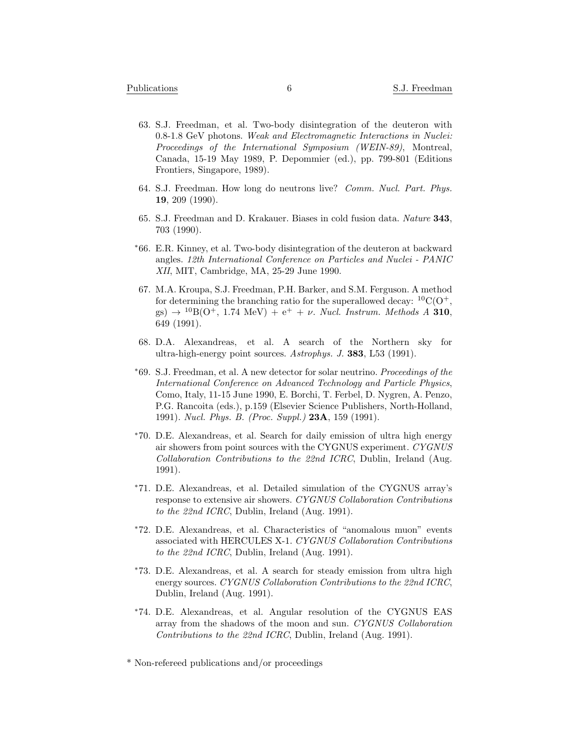- 63. S.J. Freedman, et al. Two-body disintegration of the deuteron with 0.8-1.8 GeV photons. *Weak and Electromagnetic Interactions in Nuclei: Proceedings of the International Symposium (WEIN-89)*, Montreal, Canada, 15-19 May 1989, P. Depommier (ed.), pp. 799-801 (Editions Frontiers, Singapore, 1989).
- 64. S.J. Freedman. How long do neutrons live? *Comm. Nucl. Part. Phys.* **19**, 209 (1990).
- 65. S.J. Freedman and D. Krakauer. Biases in cold fusion data. *Nature* **343**, 703 (1990).
- *<sup>∗</sup>*66. E.R. Kinney, et al. Two-body disintegration of the deuteron at backward angles. *12th International Conference on Particles and Nuclei - PANIC XII*, MIT, Cambridge, MA, 25-29 June 1990.
- 67. M.A. Kroupa, S.J. Freedman, P.H. Barker, and S.M. Ferguson. A method for determining the branching ratio for the superallowed decay:  ${}^{10}C(O^+,$  $g(s) \rightarrow {}^{10}B(O^+, 1.74 \text{ MeV}) + e^+ + \nu$ . *Nucl. Instrum. Methods A* **310**, 649 (1991).
- 68. D.A. Alexandreas, et al. A search of the Northern sky for ultra-high-energy point sources. *Astrophys. J.* **383**, L53 (1991).
- *<sup>∗</sup>*69. S.J. Freedman, et al. A new detector for solar neutrino. *Proceedings of the International Conference on Advanced Technology and Particle Physics*, Como, Italy, 11-15 June 1990, E. Borchi, T. Ferbel, D. Nygren, A. Penzo, P.G. Rancoita (eds.), p.159 (Elsevier Science Publishers, North-Holland, 1991). *Nucl. Phys. B. (Proc. Suppl.)* **23A**, 159 (1991).
- *<sup>∗</sup>*70. D.E. Alexandreas, et al. Search for daily emission of ultra high energy air showers from point sources with the CYGNUS experiment. *CYGNUS Collaboration Contributions to the 22nd ICRC*, Dublin, Ireland (Aug. 1991).
- *<sup>∗</sup>*71. D.E. Alexandreas, et al. Detailed simulation of the CYGNUS array's response to extensive air showers. *CYGNUS Collaboration Contributions to the 22nd ICRC*, Dublin, Ireland (Aug. 1991).
- *<sup>∗</sup>*72. D.E. Alexandreas, et al. Characteristics of "anomalous muon" events associated with HERCULES X-1. *CYGNUS Collaboration Contributions to the 22nd ICRC*, Dublin, Ireland (Aug. 1991).
- *<sup>∗</sup>*73. D.E. Alexandreas, et al. A search for steady emission from ultra high energy sources. *CYGNUS Collaboration Contributions to the 22nd ICRC*, Dublin, Ireland (Aug. 1991).
- *<sup>∗</sup>*74. D.E. Alexandreas, et al. Angular resolution of the CYGNUS EAS array from the shadows of the moon and sun. *CYGNUS Collaboration Contributions to the 22nd ICRC*, Dublin, Ireland (Aug. 1991).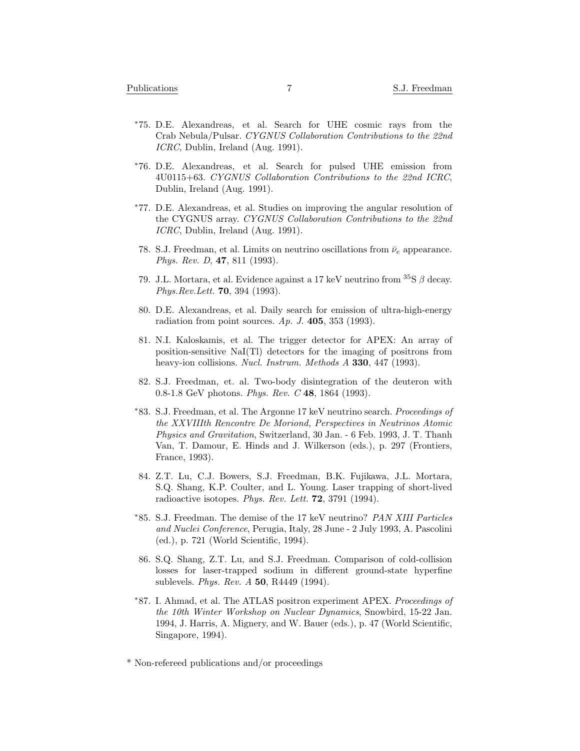- *<sup>∗</sup>*75. D.E. Alexandreas, et al. Search for UHE cosmic rays from the Crab Nebula/Pulsar. *CYGNUS Collaboration Contributions to the 22nd ICRC*, Dublin, Ireland (Aug. 1991).
- *<sup>∗</sup>*76. D.E. Alexandreas, et al. Search for pulsed UHE emission from 4U0115+63. *CYGNUS Collaboration Contributions to the 22nd ICRC*, Dublin, Ireland (Aug. 1991).
- *<sup>∗</sup>*77. D.E. Alexandreas, et al. Studies on improving the angular resolution of the CYGNUS array. *CYGNUS Collaboration Contributions to the 22nd ICRC*, Dublin, Ireland (Aug. 1991).
- 78. S.J. Freedman, et al. Limits on neutrino oscillations from  $\bar{\nu}_e$  appearance. *Phys. Rev. D*, **47**, 811 (1993).
- 79. J.L. Mortara, et al. Evidence against a 17 keV neutrino from <sup>35</sup>S *β* decay. *Phys.Rev.Lett.* **70**, 394 (1993).
- 80. D.E. Alexandreas, et al. Daily search for emission of ultra-high-energy radiation from point sources. *Ap. J.* **405**, 353 (1993).
- 81. N.I. Kaloskamis, et al. The trigger detector for APEX: An array of position-sensitive NaI(Tl) detectors for the imaging of positrons from heavy-ion collisions. *Nucl. Instrum. Methods A* **330**, 447 (1993).
- 82. S.J. Freedman, et. al. Two-body disintegration of the deuteron with 0.8-1.8 GeV photons. *Phys. Rev. C* **48**, 1864 (1993).
- *<sup>∗</sup>*83. S.J. Freedman, et al. The Argonne 17 keV neutrino search. *Proceedings of the XXVIIIth Rencontre De Moriond, Perspectives in Neutrinos Atomic Physics and Gravitation*, Switzerland, 30 Jan. - 6 Feb. 1993, J. T. Thanh Van, T. Damour, E. Hinds and J. Wilkerson (eds.), p. 297 (Frontiers, France, 1993).
- 84. Z.T. Lu, C.J. Bowers, S.J. Freedman, B.K. Fujikawa, J.L. Mortara, S.Q. Shang, K.P. Coulter, and L. Young. Laser trapping of short-lived radioactive isotopes. *Phys. Rev. Lett.* **72**, 3791 (1994).
- *<sup>∗</sup>*85. S.J. Freedman. The demise of the 17 keV neutrino? *PAN XIII Particles and Nuclei Conference*, Perugia, Italy, 28 June - 2 July 1993, A. Pascolini (ed.), p. 721 (World Scientific, 1994).
- 86. S.Q. Shang, Z.T. Lu, and S.J. Freedman. Comparison of cold-collision losses for laser-trapped sodium in different ground-state hyperfine sublevels. *Phys. Rev. A* **50**, R4449 (1994).
- *<sup>∗</sup>*87. I. Ahmad, et al. The ATLAS positron experiment APEX. *Proceedings of the 10th Winter Workshop on Nuclear Dynamics*, Snowbird, 15-22 Jan. 1994, J. Harris, A. Mignery, and W. Bauer (eds.), p. 47 (World Scientific, Singapore, 1994).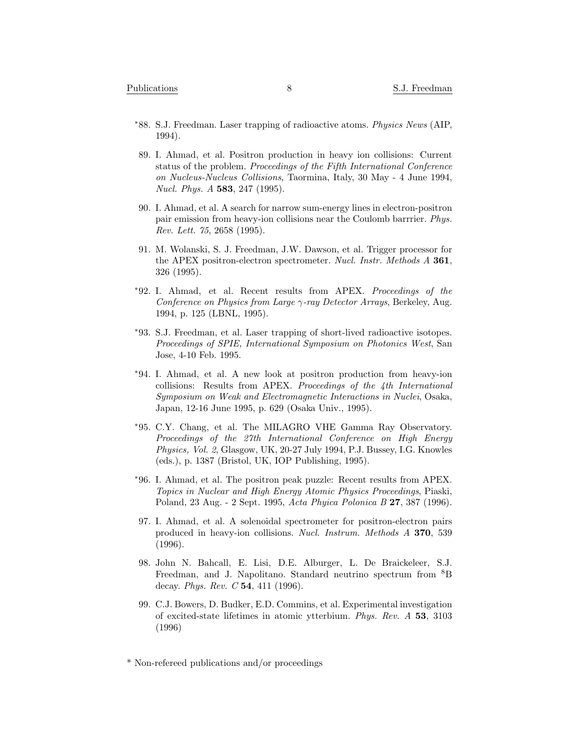- *<sup>∗</sup>*88. S.J. Freedman. Laser trapping of radioactive atoms. *Physics News* (AIP, 1994).
- 89. I. Ahmad, et al. Positron production in heavy ion collisions: Current status of the problem. *Proceedings of the Fifth International Conference on Nucleus-Nucleus Collisions*, Taormina, Italy, 30 May - 4 June 1994, *Nucl. Phys. A* **583**, 247 (1995).
- 90. I. Ahmad, et al. A search for narrow sum-energy lines in electron-positron pair emission from heavy-ion collisions near the Coulomb barrrier. *Phys. Rev. Lett. 75*, 2658 (1995).
- 91. M. Wolanski, S. J. Freedman, J.W. Dawson, et al. Trigger processor for the APEX positron-electron spectrometer. *Nucl. Instr. Methods A* **361**, 326 (1995).
- *<sup>∗</sup>*92. I. Ahmad, et al. Recent results from APEX. *Proceedings of the Conference on Physics from Large γ-ray Detector Arrays*, Berkeley, Aug. 1994, p. 125 (LBNL, 1995).
- *<sup>∗</sup>*93. S.J. Freedman, et al. Laser trapping of short-lived radioactive isotopes. *Proceedings of SPIE, International Symposium on Photonics West*, San Jose, 4-10 Feb. 1995.
- *<sup>∗</sup>*94. I. Ahmad, et al. A new look at positron production from heavy-ion collisions: Results from APEX. *Proceedings of the 4th International Symposium on Weak and Electromagnetic Interactions in Nuclei*, Osaka, Japan, 12-16 June 1995, p. 629 (Osaka Univ., 1995).
- *<sup>∗</sup>*95. C.Y. Chang, et al. The MILAGRO VHE Gamma Ray Observatory. *Proceedings of the 27th International Conference on High Energy Physics, Vol. 2*, Glasgow, UK, 20-27 July 1994, P.J. Bussey, I.G. Knowles (eds.), p. 1387 (Bristol, UK, IOP Publishing, 1995).
- *<sup>∗</sup>*96. I. Ahmad, et al. The positron peak puzzle: Recent results from APEX. *Topics in Nuclear and High Energy Atomic Physics Proceedings*, Piaski, Poland, 23 Aug. - 2 Sept. 1995, *Acta Phyica Polonica B* **27**, 387 (1996).
- 97. I. Ahmad, et al. A solenoidal spectrometer for positron-electron pairs produced in heavy-ion collisions. *Nucl. Instrum. Methods A* **370**, 539 (1996).
- 98. John N. Bahcall, E. Lisi, D.E. Alburger, L. De Braickeleer, S.J. Freedman, and J. Napolitano. Standard neutrino spectrum from <sup>8</sup>B decay. *Phys. Rev. C* **54**, 411 (1996).
- 99. C.J. Bowers, D. Budker, E.D. Commins, et al. Experimental investigation of excited-state lifetimes in atomic ytterbium. *Phys. Rev. A* **53**, 3103 (1996)

<sup>\*</sup> Non-refereed publications and/or proceedings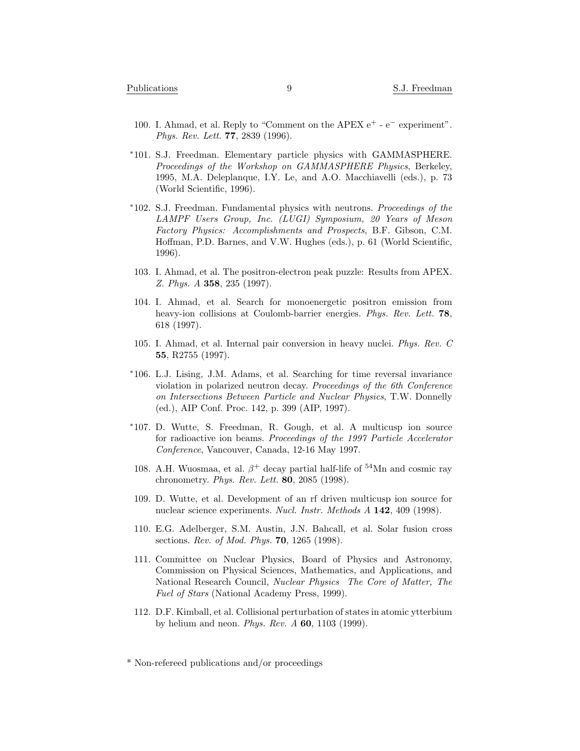- 100. I. Ahmad, et al. Reply to "Comment on the APEX e<sup>+</sup> e*<sup>−</sup>* experiment". *Phys. Rev. Lett.* **77**, 2839 (1996).
- *<sup>∗</sup>*101. S.J. Freedman. Elementary particle physics with GAMMASPHERE. *Proceedings of the Workshop on GAMMASPHERE Physics*, Berkeley, 1995, M.A. Deleplanque, I.Y. Le, and A.O. Macchiavelli (eds.), p. 73 (World Scientific, 1996).
- *<sup>∗</sup>*102. S.J. Freedman. Fundamental physics with neutrons. *Proceedings of the LAMPF Users Group, Inc. (LUGI) Symposium, 20 Years of Meson Factory Physics: Accomplishments and Prospects*, B.F. Gibson, C.M. Hoffman, P.D. Barnes, and V.W. Hughes (eds.), p. 61 (World Scientific, 1996).
- 103. I. Ahmad, et al. The positron-electron peak puzzle: Results from APEX. *Z. Phys. A* **358**, 235 (1997).
- 104. I. Ahmad, et al. Search for monoenergetic positron emission from heavy-ion collisions at Coulomb-barrier energies. *Phys. Rev. Lett.* **78**, 618 (1997).
- 105. I. Ahmad, et al. Internal pair conversion in heavy nuclei. *Phys. Rev. C* **55**, R2755 (1997).
- *<sup>∗</sup>*106. L.J. Lising, J.M. Adams, et al. Searching for time reversal invariance violation in polarized neutron decay. *Proceedings of the 6th Conference on Intersections Between Particle and Nuclear Physics*, T.W. Donnelly (ed.), AIP Conf. Proc. 142, p. 399 (AIP, 1997).
- *<sup>∗</sup>*107. D. Wutte, S. Freedman, R. Gough, et al. A multicusp ion source for radioactive ion beams. *Proceedings of the 1997 Particle Accelerator Conference*, Vancouver, Canada, 12-16 May 1997.
- 108. A.H. Wuosmaa, et al.  $\beta^+$  decay partial half-life of <sup>54</sup>Mn and cosmic ray chronometry. *Phys. Rev. Lett.* **80**, 2085 (1998).
- 109. D. Wutte, et al. Development of an rf driven multicusp ion source for nuclear science experiments. *Nucl. Instr. Methods A* **142**, 409 (1998).
- 110. E.G. Adelberger, S.M. Austin, J.N. Bahcall, et al. Solar fusion cross sections. *Rev. of Mod. Phys.* **70**, 1265 (1998).
- 111. Committee on Nuclear Physics, Board of Physics and Astronomy, Commission on Physical Sciences, Mathematics, and Applications, and National Research Council, *Nuclear Physics The Core of Matter, The Fuel of Stars* (National Academy Press, 1999).
- 112. D.F. Kimball, et al. Collisional perturbation of states in atomic ytterbium by helium and neon. *Phys. Rev. A* **60**, 1103 (1999).

<sup>\*</sup> Non-refereed publications and/or proceedings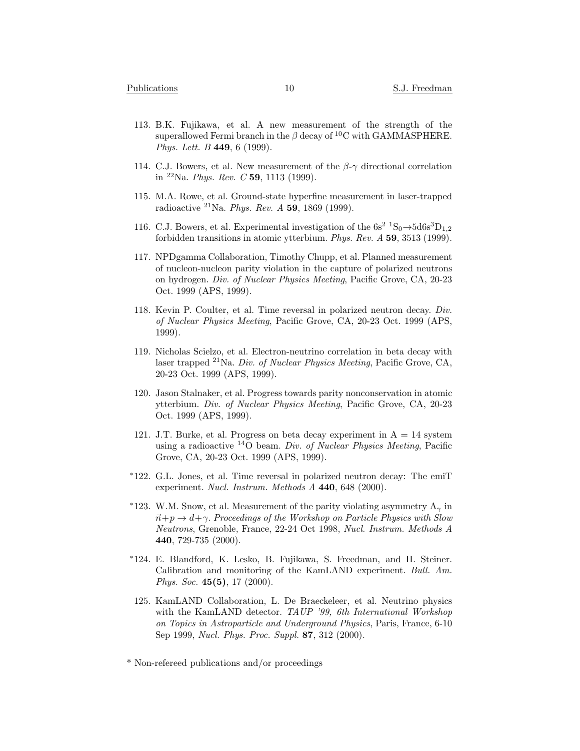- 113. B.K. Fujikawa, et al. A new measurement of the strength of the superallowed Fermi branch in the *β* decay of <sup>10</sup>C with GAMMASPHERE. *Phys. Lett. B* **449**, 6 (1999).
- 114. C.J. Bowers, et al. New measurement of the *β*-*γ* directional correlation in <sup>22</sup>Na. *Phys. Rev. C* **59**, 1113 (1999).
- 115. M.A. Rowe, et al. Ground-state hyperfine measurement in laser-trapped radioactive <sup>21</sup>Na. *Phys. Rev. A* **59**, 1869 (1999).
- 116. C.J. Bowers, et al. Experimental investigation of the  $6s^2$   ${}^1S_0 \rightarrow 5d6s^3D_1$ <sub>2</sub> forbidden transitions in atomic ytterbium. *Phys. Rev. A* **59**, 3513 (1999).
- 117. NPDgamma Collaboration, Timothy Chupp, et al. Planned measurement of nucleon-nucleon parity violation in the capture of polarized neutrons on hydrogen. *Div. of Nuclear Physics Meeting*, Pacific Grove, CA, 20-23 Oct. 1999 (APS, 1999).
- 118. Kevin P. Coulter, et al. Time reversal in polarized neutron decay. *Div. of Nuclear Physics Meeting*, Pacific Grove, CA, 20-23 Oct. 1999 (APS, 1999).
- 119. Nicholas Scielzo, et al. Electron-neutrino correlation in beta decay with laser trapped <sup>21</sup>Na. *Div. of Nuclear Physics Meeting*, Pacific Grove, CA, 20-23 Oct. 1999 (APS, 1999).
- 120. Jason Stalnaker, et al. Progress towards parity nonconservation in atomic ytterbium. *Div. of Nuclear Physics Meeting*, Pacific Grove, CA, 20-23 Oct. 1999 (APS, 1999).
- 121. J.T. Burke, et al. Progress on beta decay experiment in  $A = 14$  system using a radioactive <sup>14</sup>O beam. *Div. of Nuclear Physics Meeting*, Pacific Grove, CA, 20-23 Oct. 1999 (APS, 1999).
- *<sup>∗</sup>*122. G.L. Jones, et al. Time reversal in polarized neutron decay: The emiT experiment. *Nucl. Instrum. Methods A* **440**, 648 (2000).
- *<sup>∗</sup>*123. W.M. Snow, et al. Measurement of the parity violating asymmetry A*<sup>γ</sup>* in  $\vec{n} + p \rightarrow d + \gamma$ . *Proceedings of the Workshop on Particle Physics with Slow Neutrons*, Grenoble, France, 22-24 Oct 1998, *Nucl. Instrum. Methods A* **440**, 729-735 (2000).
- *<sup>∗</sup>*124. E. Blandford, K. Lesko, B. Fujikawa, S. Freedman, and H. Steiner. Calibration and monitoring of the KamLAND experiment. *Bull. Am. Phys. Soc.* **45(5)**, 17 (2000).
- 125. KamLAND Collaboration, L. De Braeckeleer, et al. Neutrino physics with the KamLAND detector. *TAUP '99, 6th International Workshop on Topics in Astroparticle and Underground Physics*, Paris, France, 6-10 Sep 1999, *Nucl. Phys. Proc. Suppl.* **87**, 312 (2000).

<sup>\*</sup> Non-refereed publications and/or proceedings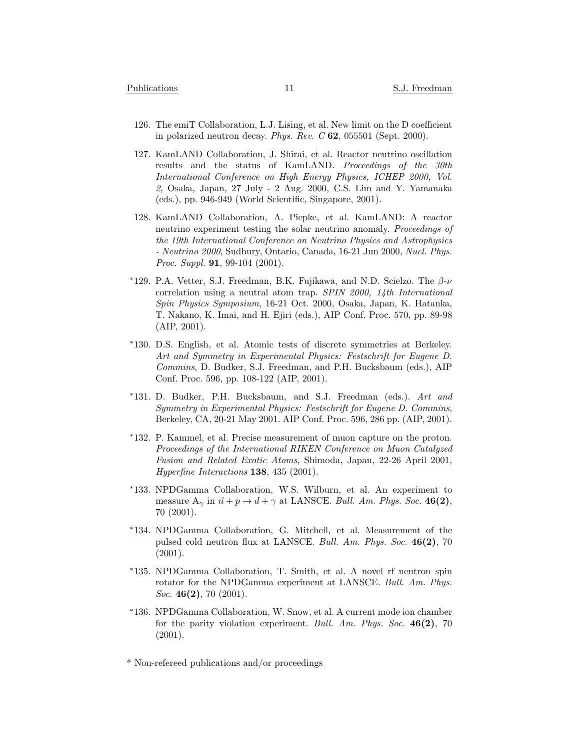- 126. The emiT Collaboration, L.J. Lising, et al. New limit on the D coefficient in polarized neutron decay. *Phys. Rev. C* **62**, 055501 (Sept. 2000).
- 127. KamLAND Collaboration, J. Shirai, et al. Reactor neutrino oscillation results and the status of KamLAND. *Proceedings of the 30th International Conference on High Energy Physics, ICHEP 2000, Vol. 2*, Osaka, Japan, 27 July - 2 Aug. 2000, C.S. Lim and Y. Yamanaka (eds.), pp. 946-949 (World Scientific, Singapore, 2001).
- 128. KamLAND Collaboration, A. Piepke, et al. KamLAND: A reactor neutrino experiment testing the solar neutrino anomaly. *Proceedings of the 19th International Conference on Neutrino Physics and Astrophysics - Neutrino 2000*, Sudbury, Ontario, Canada, 16-21 Jun 2000, *Nucl. Phys. Proc. Suppl.* **91**, 99-104 (2001).
- *<sup>∗</sup>*129. P.A. Vetter, S.J. Freedman, B.K. Fujikawa, and N.D. Scielzo. The *β*-*ν* correlation using a neutral atom trap. *SPIN 2000, 14th International Spin Physics Symposium*, 16-21 Oct. 2000, Osaka, Japan, K. Hatanka, T. Nakano, K. Imai, and H. Ejiri (eds.), AIP Conf. Proc. 570, pp. 89-98 (AIP, 2001).
- *<sup>∗</sup>*130. D.S. English, et al. Atomic tests of discrete symmetries at Berkeley. *Art and Symmetry in Experimental Physics: Festschrift for Eugene D. Commins*, D. Budker, S.J. Freedman, and P.H. Bucksbaum (eds.), AIP Conf. Proc. 596, pp. 108-122 (AIP, 2001).
- *<sup>∗</sup>*131. D. Budker, P.H. Bucksbaum, and S.J. Freedman (eds.). *Art and Symmetry in Experimental Physics: Festschrift for Eugene D. Commins*, Berkeley, CA, 20-21 May 2001. AIP Conf. Proc. 596, 286 pp. (AIP, 2001).
- *<sup>∗</sup>*132. P. Kammel, et al. Precise measurement of muon capture on the proton. *Proceedings of the International RIKEN Conference on Muon Catalyzed Fusion and Related Exotic Atoms*, Shimoda, Japan, 22-26 April 2001, *Hyperfine Interactions* **138**, 435 (2001).
- *<sup>∗</sup>*133. NPDGamma Collaboration, W.S. Wilburn, et al. An experiment to measure  $A_{\gamma}$  in  $\vec{n} + p \rightarrow d + \gamma$  at LANSCE. *Bull. Am. Phys. Soc.* 46(2), 70 (2001).
- *<sup>∗</sup>*134. NPDGamma Collaboration, G. Mitchell, et al. Measurement of the pulsed cold neutron flux at LANSCE. *Bull. Am. Phys. Soc.* **46(2)**, 70  $(2001).$
- *<sup>∗</sup>*135. NPDGamma Collaboration, T. Smith, et al. A novel rf neutron spin rotator for the NPDGamma experiment at LANSCE. *Bull. Am. Phys. Soc.* **46(2)**, 70 (2001).
- *<sup>∗</sup>*136. NPDGamma Collaboration, W. Snow, et al. A current mode ion chamber for the parity violation experiment. *Bull. Am. Phys. Soc.* **46(2)**, 70 (2001).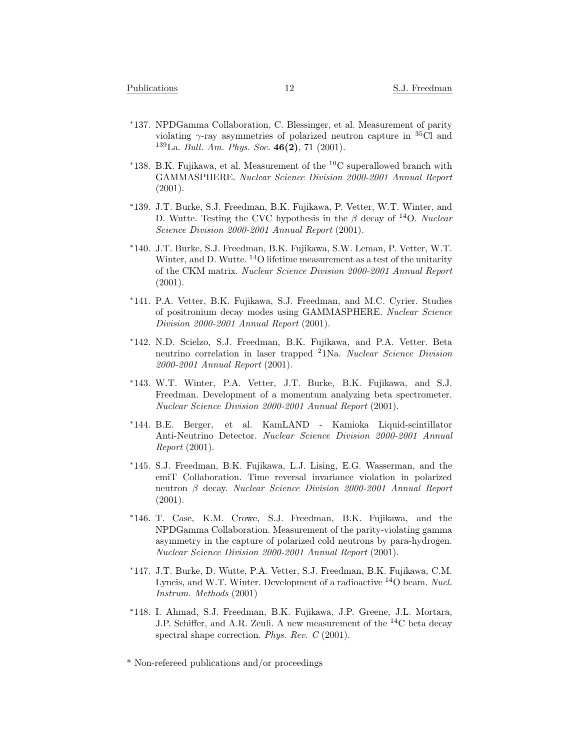- *<sup>∗</sup>*137. NPDGamma Collaboration, C. Blessinger, et al. Measurement of parity violating  $\gamma$ -ray asymmetries of polarized neutron capture in <sup>35</sup>Cl and <sup>139</sup>La. *Bull. Am. Phys. Soc.* **46(2)**, 71 (2001).
- *<sup>∗</sup>*138. B.K. Fujikawa, et al. Measurement of the <sup>10</sup>C superallowed branch with GAMMASPHERE. *Nuclear Science Division 2000-2001 Annual Report* (2001).
- *<sup>∗</sup>*139. J.T. Burke, S.J. Freedman, B.K. Fujikawa, P. Vetter, W.T. Winter, and D. Wutte. Testing the CVC hypothesis in the *β* decay of <sup>14</sup>O. *Nuclear Science Division 2000-2001 Annual Report* (2001).
- *<sup>∗</sup>*140. J.T. Burke, S.J. Freedman, B.K. Fujikawa, S.W. Leman, P. Vetter, W.T. Winter, and D. Wutte. <sup>14</sup>O lifetime measurement as a test of the unitarity of the CKM matrix. *Nuclear Science Division 2000-2001 Annual Report* (2001).
- *<sup>∗</sup>*141. P.A. Vetter, B.K. Fujikawa, S.J. Freedman, and M.C. Cyrier. Studies of positronium decay modes using GAMMASPHERE. *Nuclear Science Division 2000-2001 Annual Report* (2001).
- *<sup>∗</sup>*142. N.D. Scielzo, S.J. Freedman, B.K. Fujikawa, and P.A. Vetter. Beta neutrino correlation in laser trapped <sup>2</sup>1Na. *Nuclear Science Division 2000-2001 Annual Report* (2001).
- *<sup>∗</sup>*143. W.T. Winter, P.A. Vetter, J.T. Burke, B.K. Fujikawa, and S.J. Freedman. Development of a momentum analyzing beta spectrometer. *Nuclear Science Division 2000-2001 Annual Report* (2001).
- *<sup>∗</sup>*144. B.E. Berger, et al. KamLAND Kamioka Liquid-scintillator Anti-Neutrino Detector. *Nuclear Science Division 2000-2001 Annual Report* (2001).
- *<sup>∗</sup>*145. S.J. Freedman, B.K. Fujikawa, L.J. Lising, E.G. Wasserman, and the emiT Collaboration. Time reversal invariance violation in polarized neutron *β* decay. *Nuclear Science Division 2000-2001 Annual Report* (2001).
- *<sup>∗</sup>*146. T. Case, K.M. Crowe, S.J. Freedman, B.K. Fujikawa, and the NPDGamma Collaboration. Measurement of the parity-violating gamma asymmetry in the capture of polarized cold neutrons by para-hydrogen. *Nuclear Science Division 2000-2001 Annual Report* (2001).
- *<sup>∗</sup>*147. J.T. Burke, D. Wutte, P.A. Vetter, S.J. Freedman, B.K. Fujikawa, C.M. Lyneis, and W.T. Winter. Development of a radioactive <sup>14</sup>O beam. *Nucl. Instrum. Methods* (2001)
- *<sup>∗</sup>*148. I. Ahmad, S.J. Freedman, B.K. Fujikawa, J.P. Greene, J.L. Mortara, J.P. Schiffer, and A.R. Zeuli. A new measurement of the <sup>14</sup>C beta decay spectral shape correction. *Phys. Rev. C* (2001).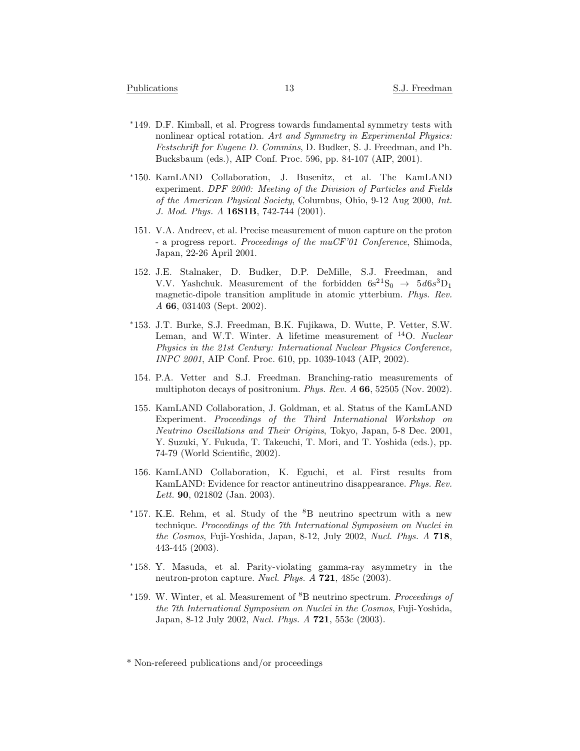- *<sup>∗</sup>*149. D.F. Kimball, et al. Progress towards fundamental symmetry tests with nonlinear optical rotation. *Art and Symmetry in Experimental Physics: Festschrift for Eugene D. Commins*, D. Budker, S. J. Freedman, and Ph. Bucksbaum (eds.), AIP Conf. Proc. 596, pp. 84-107 (AIP, 2001).
- *<sup>∗</sup>*150. KamLAND Collaboration, J. Busenitz, et al. The KamLAND experiment. *DPF 2000: Meeting of the Division of Particles and Fields of the American Physical Society*, Columbus, Ohio, 9-12 Aug 2000, *Int. J. Mod. Phys. A* **16S1B**, 742-744 (2001).
- 151. V.A. Andreev, et al. Precise measurement of muon capture on the proton - a progress report. *Proceedings of the muCF'01 Conference*, Shimoda, Japan, 22-26 April 2001.
- 152. J.E. Stalnaker, D. Budker, D.P. DeMille, S.J. Freedman, and V.V. Yashchuk. Measurement of the forbidden  $6s^2S_0 \rightarrow 5d6s^3D_1$ magnetic-dipole transition amplitude in atomic ytterbium. *Phys. Rev. A* **66**, 031403 (Sept. 2002).
- *<sup>∗</sup>*153. J.T. Burke, S.J. Freedman, B.K. Fujikawa, D. Wutte, P. Vetter, S.W. Leman, and W.T. Winter. A lifetime measurement of <sup>14</sup>O. *Nuclear Physics in the 21st Century: International Nuclear Physics Conference, INPC 2001*, AIP Conf. Proc. 610, pp. 1039-1043 (AIP, 2002).
- 154. P.A. Vetter and S.J. Freedman. Branching-ratio measurements of multiphoton decays of positronium. *Phys. Rev. A* **66**, 52505 (Nov. 2002).
- 155. KamLAND Collaboration, J. Goldman, et al. Status of the KamLAND Experiment. *Proceedings of the Third International Workshop on Neutrino Oscillations and Their Origins*, Tokyo, Japan, 5-8 Dec. 2001, Y. Suzuki, Y. Fukuda, T. Takeuchi, T. Mori, and T. Yoshida (eds.), pp. 74-79 (World Scientific, 2002).
- 156. KamLAND Collaboration, K. Eguchi, et al. First results from KamLAND: Evidence for reactor antineutrino disappearance. *Phys. Rev. Lett.* **90**, 021802 (Jan. 2003).
- *\**157. K.E. Rehm, et al. Study of the <sup>8</sup>B neutrino spectrum with a new technique. *Proceedings of the 7th International Symposium on Nuclei in the Cosmos*, Fuji-Yoshida, Japan, 8-12, July 2002, *Nucl. Phys. A* **718**, 443-445 (2003).
- *<sup>∗</sup>*158. Y. Masuda, et al. Parity-violating gamma-ray asymmetry in the neutron-proton capture. *Nucl. Phys. A* **721**, 485c (2003).
- *<sup>∗</sup>*159. W. Winter, et al. Measurement of <sup>8</sup>B neutrino spectrum. *Proceedings of the 7th International Symposium on Nuclei in the Cosmos*, Fuji-Yoshida, Japan, 8-12 July 2002, *Nucl. Phys. A* **721**, 553c (2003).

<sup>\*</sup> Non-refereed publications and/or proceedings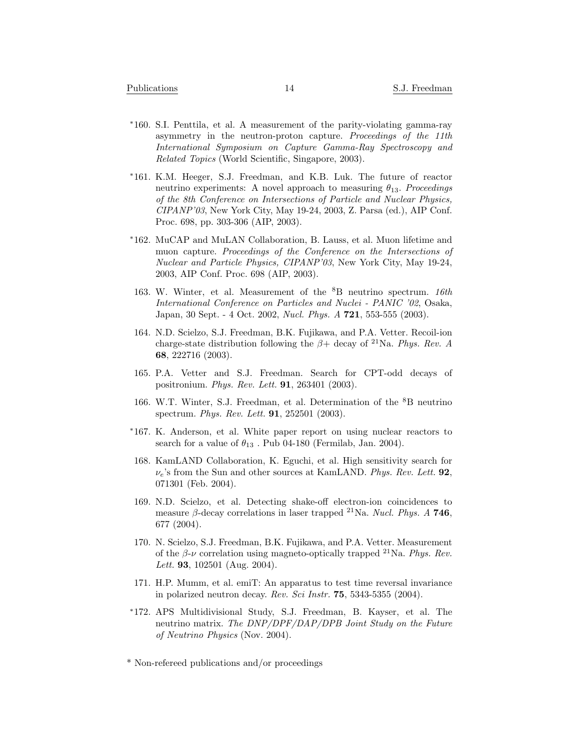- *<sup>∗</sup>*160. S.I. Penttila, et al. A measurement of the parity-violating gamma-ray asymmetry in the neutron-proton capture. *Proceedings of the 11th International Symposium on Capture Gamma-Ray Spectroscopy and Related Topics* (World Scientific, Singapore, 2003).
- *<sup>∗</sup>*161. K.M. Heeger, S.J. Freedman, and K.B. Luk. The future of reactor neutrino experiments: A novel approach to measuring *θ*13. *Proceedings of the 8th Conference on Intersections of Particle and Nuclear Physics, CIPANP'03*, New York City, May 19-24, 2003, Z. Parsa (ed.), AIP Conf. Proc. 698, pp. 303-306 (AIP, 2003).
- *<sup>∗</sup>*162. MuCAP and MuLAN Collaboration, B. Lauss, et al. Muon lifetime and muon capture. *Proceedings of the Conference on the Intersections of Nuclear and Particle Physics, CIPANP'03*, New York City, May 19-24, 2003, AIP Conf. Proc. 698 (AIP, 2003).
- 163. W. Winter, et al. Measurement of the <sup>8</sup>B neutrino spectrum. *16th International Conference on Particles and Nuclei - PANIC '02*, Osaka, Japan, 30 Sept. - 4 Oct. 2002, *Nucl. Phys. A* **721**, 553-555 (2003).
- 164. N.D. Scielzo, S.J. Freedman, B.K. Fujikawa, and P.A. Vetter. Recoil-ion charge-state distribution following the  $\beta$ + decay of <sup>21</sup>Na. *Phys. Rev. A* **68**, 222716 (2003).
- 165. P.A. Vetter and S.J. Freedman. Search for CPT-odd decays of positronium. *Phys. Rev. Lett.* **91**, 263401 (2003).
- 166. W.T. Winter, S.J. Freedman, et al. Determination of the <sup>8</sup>B neutrino spectrum. *Phys. Rev. Lett.* **91**, 252501 (2003).
- *<sup>∗</sup>*167. K. Anderson, et al. White paper report on using nuclear reactors to search for a value of  $\theta_{13}$ . Pub 04-180 (Fermilab, Jan. 2004).
- 168. KamLAND Collaboration, K. Eguchi, et al. High sensitivity search for *νe*'s from the Sun and other sources at KamLAND. *Phys. Rev. Lett.* **92**, 071301 (Feb. 2004).
- 169. N.D. Scielzo, et al. Detecting shake-off electron-ion coincidences to measure  $\beta$ -decay correlations in laser trapped <sup>21</sup>Na. *Nucl. Phys. A* **746**, 677 (2004).
- 170. N. Scielzo, S.J. Freedman, B.K. Fujikawa, and P.A. Vetter. Measurement of the  $\beta$ - $\nu$  correlation using magneto-optically trapped <sup>21</sup>Na. *Phys. Rev. Lett.* **93**, 102501 (Aug. 2004).
- 171. H.P. Mumm, et al. emiT: An apparatus to test time reversal invariance in polarized neutron decay. *Rev. Sci Instr.* **75**, 5343-5355 (2004).
- *<sup>∗</sup>*172. APS Multidivisional Study, S.J. Freedman, B. Kayser, et al. The neutrino matrix. *The DNP/DPF/DAP/DPB Joint Study on the Future of Neutrino Physics* (Nov. 2004).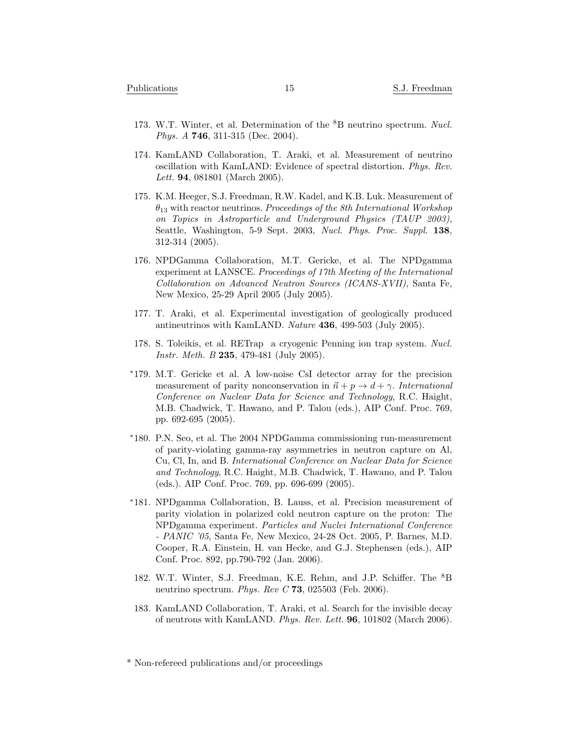- 173. W.T. Winter, et al. Determination of the <sup>8</sup>B neutrino spectrum. *Nucl. Phys. A* **746**, 311-315 (Dec. 2004).
- 174. KamLAND Collaboration, T. Araki, et al. Measurement of neutrino oscillation with KamLAND: Evidence of spectral distortion. *Phys. Rev. Lett.* **94**, 081801 (March 2005).
- 175. K.M. Heeger, S.J. Freedman, R.W. Kadel, and K.B. Luk. Measurement of *θ*<sup>13</sup> with reactor neutrinos. *Proceedings of the 8th International Workshop on Topics in Astroparticle and Underground Physics (TAUP 2003)*, Seattle, Washington, 5-9 Sept. 2003, *Nucl. Phys. Proc. Suppl.* **138**, 312-314 (2005).
- 176. NPDGamma Collaboration, M.T. Gericke, et al. The NPDgamma experiment at LANSCE. *Proceedings of 17th Meeting of the International Collaboration on Advanced Neutron Sources (ICANS-XVII)*, Santa Fe, New Mexico, 25-29 April 2005 (July 2005).
- 177. T. Araki, et al. Experimental investigation of geologically produced antineutrinos with KamLAND. *Nature* **436**, 499-503 (July 2005).
- 178. S. Toleikis, et al. RETrap a cryogenic Penning ion trap system. *Nucl. Instr. Meth. B* **235**, 479-481 (July 2005).
- *<sup>∗</sup>*179. M.T. Gericke et al. A low-noise CsI detector array for the precision measurement of parity nonconservation in  $\vec{n} + p \rightarrow d + \gamma$ . *International Conference on Nuclear Data for Science and Technology*, R.C. Haight, M.B. Chadwick, T. Hawano, and P. Talou (eds.), AIP Conf. Proc. 769, pp. 692-695 (2005).
- *<sup>∗</sup>*180. P.N. Seo, et al. The 2004 NPDGamma commissioning run-measurement of parity-violating gamma-ray asymmetries in neutron capture on Al, Cu, Cl, In, and B. *International Conference on Nuclear Data for Science and Technology*, R.C. Haight, M.B. Chadwick, T. Hawano, and P. Talou (eds.). AIP Conf. Proc. 769, pp. 696-699 (2005).
- *<sup>∗</sup>*181. NPDgamma Collaboration, B. Lauss, et al. Precision measurement of parity violation in polarized cold neutron capture on the proton: The NPDgamma experiment. *Particles and Nuclei International Conference - PANIC '05*, Santa Fe, New Mexico, 24-28 Oct. 2005, P. Barnes, M.D. Cooper, R.A. Einstein, H. van Hecke, and G.J. Stephensen (eds.), AIP Conf. Proc. 892, pp.790-792 (Jan. 2006).
- 182. W.T. Winter, S.J. Freedman, K.E. Rehm, and J.P. Schiffer. The <sup>8</sup>B neutrino spectrum. *Phys. Rev C* **73**, 025503 (Feb. 2006).
- 183. KamLAND Collaboration, T. Araki, et al. Search for the invisible decay of neutrons with KamLAND. *Phys. Rev. Lett.* **96**, 101802 (March 2006).

<sup>\*</sup> Non-refereed publications and/or proceedings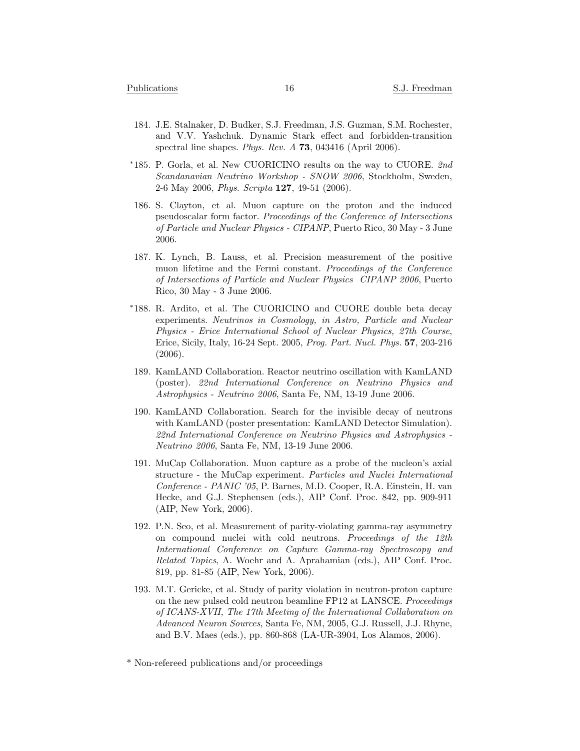- 184. J.E. Stalnaker, D. Budker, S.J. Freedman, J.S. Guzman, S.M. Rochester, and V.V. Yashchuk. Dynamic Stark effect and forbidden-transition spectral line shapes. *Phys. Rev. A* **73**, 043416 (April 2006).
- *<sup>∗</sup>*185. P. Gorla, et al. New CUORICINO results on the way to CUORE. *2nd Scandanavian Neutrino Workshop - SNOW 2006*, Stockholm, Sweden, 2-6 May 2006, *Phys. Scripta* **127**, 49-51 (2006).
- 186. S. Clayton, et al. Muon capture on the proton and the induced pseudoscalar form factor. *Proceedings of the Conference of Intersections of Particle and Nuclear Physics - CIPANP*, Puerto Rico, 30 May - 3 June 2006.
- 187. K. Lynch, B. Lauss, et al. Precision measurement of the positive muon lifetime and the Fermi constant. *Proceedings of the Conference of Intersections of Particle and Nuclear Physics CIPANP 2006*, Puerto Rico, 30 May - 3 June 2006.
- *<sup>∗</sup>*188. R. Ardito, et al. The CUORICINO and CUORE double beta decay experiments. *Neutrinos in Cosmology, in Astro, Particle and Nuclear Physics - Erice International School of Nuclear Physics, 27th Course*, Erice, Sicily, Italy, 16-24 Sept. 2005, *Prog. Part. Nucl. Phys.* **57**, 203-216 (2006).
- 189. KamLAND Collaboration. Reactor neutrino oscillation with KamLAND (poster). *22nd International Conference on Neutrino Physics and Astrophysics - Neutrino 2006*, Santa Fe, NM, 13-19 June 2006.
- 190. KamLAND Collaboration. Search for the invisible decay of neutrons with KamLAND (poster presentation: KamLAND Detector Simulation). *22nd International Conference on Neutrino Physics and Astrophysics - Neutrino 2006*, Santa Fe, NM, 13-19 June 2006.
- 191. MuCap Collaboration. Muon capture as a probe of the nucleon's axial structure - the MuCap experiment. *Particles and Nuclei International Conference - PANIC '05*, P. Barnes, M.D. Cooper, R.A. Einstein, H. van Hecke, and G.J. Stephensen (eds.), AIP Conf. Proc. 842, pp. 909-911 (AIP, New York, 2006).
- 192. P.N. Seo, et al. Measurement of parity-violating gamma-ray asymmetry on compound nuclei with cold neutrons. *Proceedings of the 12th International Conference on Capture Gamma-ray Spectroscopy and Related Topics*, A. Woehr and A. Aprahamian (eds.), AIP Conf. Proc. 819, pp. 81-85 (AIP, New York, 2006).
- 193. M.T. Gericke, et al. Study of parity violation in neutron-proton capture on the new pulsed cold neutron beamline FP12 at LANSCE. *Proceedings of ICANS-XVII, The 17th Meeting of the International Collaboration on Advanced Neuron Sources*, Santa Fe, NM, 2005, G.J. Russell, J.J. Rhyne, and B.V. Maes (eds.), pp. 860-868 (LA-UR-3904, Los Alamos, 2006).

<sup>\*</sup> Non-refereed publications and/or proceedings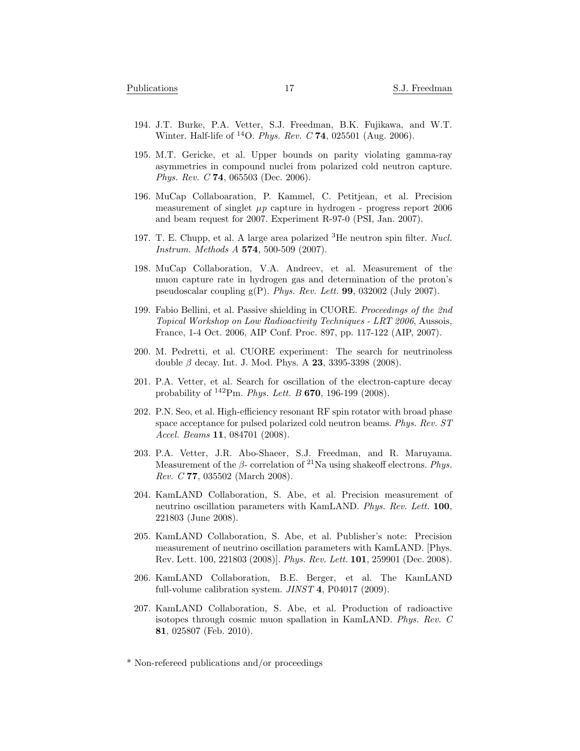- 194. J.T. Burke, P.A. Vetter, S.J. Freedman, B.K. Fujikawa, and W.T. Winter. Half-life of <sup>14</sup>O. *Phys. Rev. C* **74**, 025501 (Aug. 2006).
- 195. M.T. Gericke, et al. Upper bounds on parity violating gamma-ray asymmetries in compound nuclei from polarized cold neutron capture. *Phys. Rev. C* **74**, 065503 (Dec. 2006).
- 196. MuCap Collaboaration, P. Kammel, C. Petitjean, et al. Precision measurement of singlet  $\mu p$  capture in hydrogen - progress report 2006 and beam request for 2007. Experiment R-97-0 (PSI, Jan. 2007).
- 197. T. E. Chupp, et al. A large area polarized <sup>3</sup>He neutron spin filter. *Nucl. Instrum. Methods A* **574**, 500-509 (2007).
- 198. MuCap Collaboration, V.A. Andreev, et al. Measurement of the muon capture rate in hydrogen gas and determination of the proton's pseudoscalar coupling g(P). *Phys. Rev. Lett.* **99**, 032002 (July 2007).
- 199. Fabio Bellini, et al. Passive shielding in CUORE. *Proceedings of the 2nd Topical Workshop on Low Radioactivity Techniques - LRT 2006*, Aussois, France, 1-4 Oct. 2006, AIP Conf. Proc. 897, pp. 117-122 (AIP, 2007).
- 200. M. Pedretti, et al. CUORE experiment: The search for neutrinoless double *β* decay. Int. J. Mod. Phys. A **23**, 3395-3398 (2008).
- 201. P.A. Vetter, et al. Search for oscillation of the electron-capture decay probability of <sup>142</sup>Pm. *Phys. Lett. B* **670**, 196-199 (2008).
- 202. P.N. Seo, et al. High-efficiency resonant RF spin rotator with broad phase space acceptance for pulsed polarized cold neutron beams. *Phys. Rev. ST Accel. Beams* **11**, 084701 (2008).
- 203. P.A. Vetter, J.R. Abo-Shaeer, S.J. Freedman, and R. Maruyama. Measurement of the *β*- correlation of <sup>21</sup>Na using shakeoff electrons. *Phys. Rev. C* **77**, 035502 (March 2008).
- 204. KamLAND Collaboration, S. Abe, et al. Precision measurement of neutrino oscillation parameters with KamLAND. *Phys. Rev. Lett.* **100**, 221803 (June 2008).
- 205. KamLAND Collaboration, S. Abe, et al. Publisher's note: Precision measurement of neutrino oscillation parameters with KamLAND. [Phys. Rev. Lett. 100, 221803 (2008)]. *Phys. Rev. Lett.* **101**, 259901 (Dec. 2008).
- 206. KamLAND Collaboration, B.E. Berger, et al. The KamLAND full-volume calibration system. *JINST* **4**, P04017 (2009).
- 207. KamLAND Collaboration, S. Abe, et al. Production of radioactive isotopes through cosmic muon spallation in KamLAND. *Phys. Rev. C* **81**, 025807 (Feb. 2010).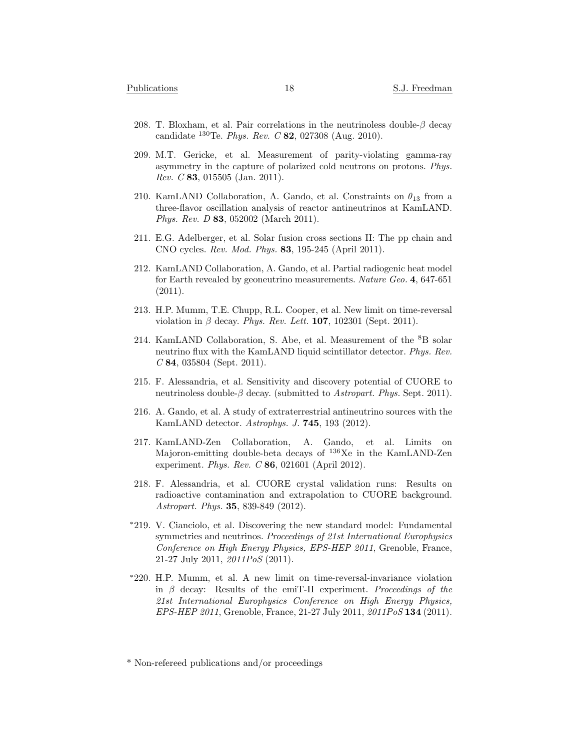- 208. T. Bloxham, et al. Pair correlations in the neutrinoless double-*β* decay candidate <sup>130</sup>Te. *Phys. Rev. C* **82**, 027308 (Aug. 2010).
- 209. M.T. Gericke, et al. Measurement of parity-violating gamma-ray asymmetry in the capture of polarized cold neutrons on protons. *Phys. Rev. C* **83**, 015505 (Jan. 2011).
- 210. KamLAND Collaboration, A. Gando, et al. Constraints on  $\theta_{13}$  from a three-flavor oscillation analysis of reactor antineutrinos at KamLAND. *Phys. Rev. D* **83**, 052002 (March 2011).
- 211. E.G. Adelberger, et al. Solar fusion cross sections II: The pp chain and CNO cycles. *Rev. Mod. Phys.* **83**, 195-245 (April 2011).
- 212. KamLAND Collaboration, A. Gando, et al. Partial radiogenic heat model for Earth revealed by geoneutrino measurements. *Nature Geo.* **4**, 647-651 (2011).
- 213. H.P. Mumm, T.E. Chupp, R.L. Cooper, et al. New limit on time-reversal violation in *β* decay. *Phys. Rev. Lett.* **107**, 102301 (Sept. 2011).
- 214. KamLAND Collaboration, S. Abe, et al. Measurement of the <sup>8</sup>B solar neutrino flux with the KamLAND liquid scintillator detector. *Phys. Rev. C* **84**, 035804 (Sept. 2011).
- 215. F. Alessandria, et al. Sensitivity and discovery potential of CUORE to neutrinoless double-*β* decay. (submitted to *Astropart. Phys.* Sept. 2011).
- 216. A. Gando, et al. A study of extraterrestrial antineutrino sources with the KamLAND detector. *Astrophys. J.* **745**, 193 (2012).
- 217. KamLAND-Zen Collaboration, A. Gando, et al. Limits on Majoron-emitting double-beta decays of <sup>136</sup>Xe in the KamLAND-Zen experiment. *Phys. Rev. C* **86**, 021601 (April 2012).
- 218. F. Alessandria, et al. CUORE crystal validation runs: Results on radioactive contamination and extrapolation to CUORE background. *Astropart. Phys.* **35**, 839-849 (2012).
- *<sup>∗</sup>*219. V. Cianciolo, et al. Discovering the new standard model: Fundamental symmetries and neutrinos. *Proceedings of 21st International Europhysics Conference on High Energy Physics, EPS-HEP 2011*, Grenoble, France, 21-27 July 2011, *2011PoS* (2011).
- *<sup>∗</sup>*220. H.P. Mumm, et al. A new limit on time-reversal-invariance violation in *β* decay: Results of the emiT-II experiment. *Proceedings of the 21st International Europhysics Conference on High Energy Physics, EPS-HEP 2011*, Grenoble, France, 21-27 July 2011, *2011PoS* **134** (2011).

<sup>\*</sup> Non-refereed publications and/or proceedings